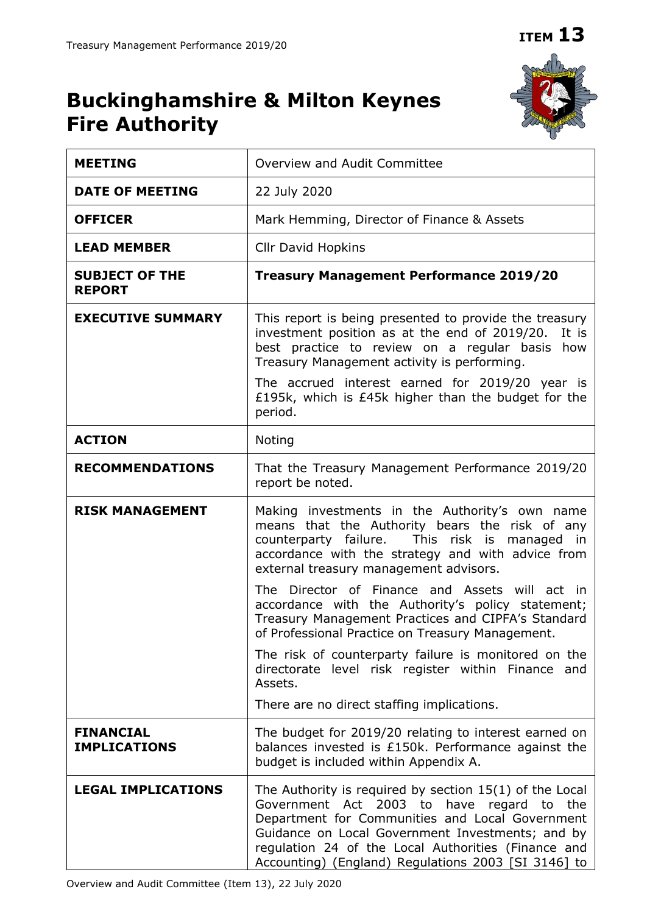# **Buckinghamshire & Milton Keynes Fire Authority**



| <b>MEETING</b>                          | Overview and Audit Committee                                                                                                                                                                                                                                                                                                         |  |
|-----------------------------------------|--------------------------------------------------------------------------------------------------------------------------------------------------------------------------------------------------------------------------------------------------------------------------------------------------------------------------------------|--|
| <b>DATE OF MEETING</b>                  | 22 July 2020                                                                                                                                                                                                                                                                                                                         |  |
| <b>OFFICER</b>                          | Mark Hemming, Director of Finance & Assets                                                                                                                                                                                                                                                                                           |  |
| <b>LEAD MEMBER</b>                      | <b>Cllr David Hopkins</b>                                                                                                                                                                                                                                                                                                            |  |
| <b>SUBJECT OF THE</b><br><b>REPORT</b>  | <b>Treasury Management Performance 2019/20</b>                                                                                                                                                                                                                                                                                       |  |
| <b>EXECUTIVE SUMMARY</b>                | This report is being presented to provide the treasury<br>investment position as at the end of 2019/20.<br>It is<br>best practice to review on a regular basis how<br>Treasury Management activity is performing.                                                                                                                    |  |
|                                         | The accrued interest earned for 2019/20 year is<br>£195k, which is £45k higher than the budget for the<br>period.                                                                                                                                                                                                                    |  |
| <b>ACTION</b>                           | Noting                                                                                                                                                                                                                                                                                                                               |  |
| <b>RECOMMENDATIONS</b>                  | That the Treasury Management Performance 2019/20<br>report be noted.                                                                                                                                                                                                                                                                 |  |
| <b>RISK MANAGEMENT</b>                  | Making investments in the Authority's own name<br>means that the Authority bears the risk of any<br>counterparty failure. This risk is managed in<br>accordance with the strategy and with advice from<br>external treasury management advisors.                                                                                     |  |
|                                         | The Director of Finance and Assets will act in<br>accordance with the Authority's policy statement;<br>Treasury Management Practices and CIPFA's Standard<br>of Professional Practice on Treasury Management.                                                                                                                        |  |
|                                         | The risk of counterparty failure is monitored on the<br>directorate level risk register within Finance and<br>Assets.                                                                                                                                                                                                                |  |
|                                         | There are no direct staffing implications.                                                                                                                                                                                                                                                                                           |  |
| <b>FINANCIAL</b><br><b>IMPLICATIONS</b> | The budget for 2019/20 relating to interest earned on<br>balances invested is £150k. Performance against the<br>budget is included within Appendix A.                                                                                                                                                                                |  |
| <b>LEGAL IMPLICATIONS</b>               | The Authority is required by section $15(1)$ of the Local<br>Government Act 2003 to<br>have regard<br>to<br>the<br>Department for Communities and Local Government<br>Guidance on Local Government Investments; and by<br>regulation 24 of the Local Authorities (Finance and<br>Accounting) (England) Regulations 2003 [SI 3146] to |  |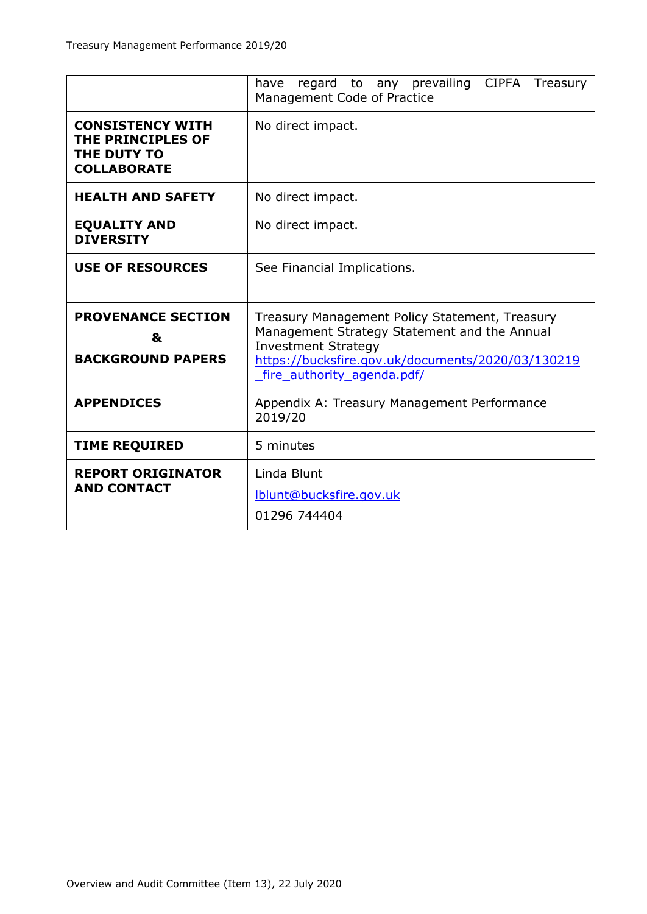|                                                                                   | regard to any prevailing CIPFA Treasury<br>have<br>Management Code of Practice                                                                                                                                  |  |  |
|-----------------------------------------------------------------------------------|-----------------------------------------------------------------------------------------------------------------------------------------------------------------------------------------------------------------|--|--|
| <b>CONSISTENCY WITH</b><br>THE PRINCIPLES OF<br>THE DUTY TO<br><b>COLLABORATE</b> | No direct impact.                                                                                                                                                                                               |  |  |
| <b>HEALTH AND SAFETY</b>                                                          | No direct impact.                                                                                                                                                                                               |  |  |
| <b>EQUALITY AND</b><br><b>DIVERSITY</b>                                           | No direct impact.                                                                                                                                                                                               |  |  |
| <b>USE OF RESOURCES</b>                                                           | See Financial Implications.                                                                                                                                                                                     |  |  |
| <b>PROVENANCE SECTION</b><br>&<br><b>BACKGROUND PAPERS</b>                        | Treasury Management Policy Statement, Treasury<br>Management Strategy Statement and the Annual<br><b>Investment Strategy</b><br>https://bucksfire.gov.uk/documents/2020/03/130219<br>fire authority agenda.pdf/ |  |  |
| <b>APPENDICES</b>                                                                 | Appendix A: Treasury Management Performance<br>2019/20                                                                                                                                                          |  |  |
| <b>TIME REQUIRED</b>                                                              | 5 minutes                                                                                                                                                                                                       |  |  |
| <b>REPORT ORIGINATOR</b><br><b>AND CONTACT</b>                                    | Linda Blunt<br>Iblunt@bucksfire.gov.uk<br>01296 744404                                                                                                                                                          |  |  |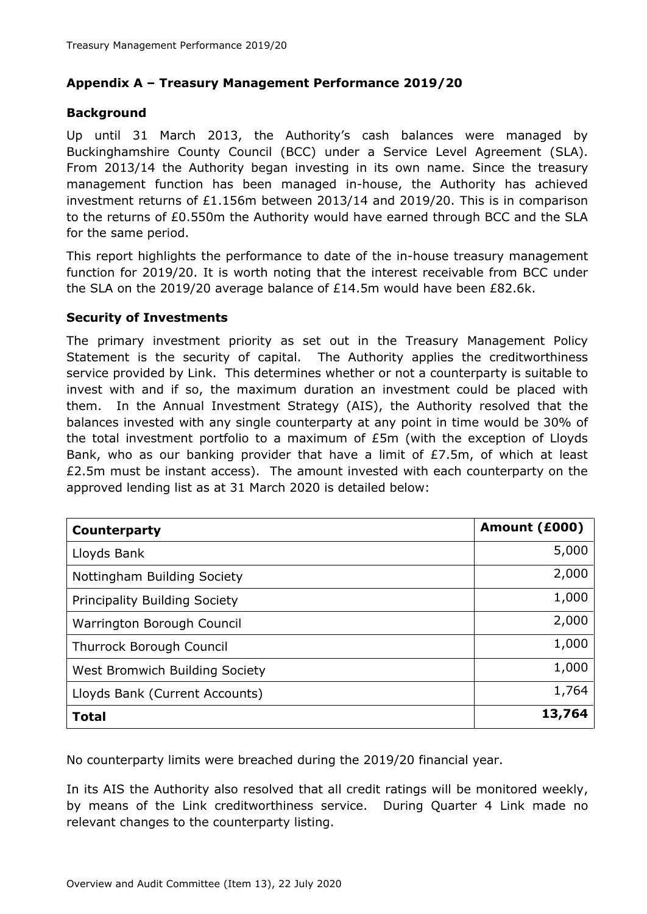#### **Appendix A – Treasury Management Performance 2019/20**

#### **Background**

Up until 31 March 2013, the Authority's cash balances were managed by Buckinghamshire County Council (BCC) under a Service Level Agreement (SLA). From 2013/14 the Authority began investing in its own name. Since the treasury management function has been managed in-house, the Authority has achieved investment returns of £1.156m between 2013/14 and 2019/20. This is in comparison to the returns of £0.550m the Authority would have earned through BCC and the SLA for the same period.

This report highlights the performance to date of the in-house treasury management function for 2019/20. It is worth noting that the interest receivable from BCC under the SLA on the 2019/20 average balance of £14.5m would have been £82.6k.

#### **Security of Investments**

The primary investment priority as set out in the Treasury Management Policy Statement is the security of capital. The Authority applies the creditworthiness service provided by Link. This determines whether or not a counterparty is suitable to invest with and if so, the maximum duration an investment could be placed with them. In the Annual Investment Strategy (AIS), the Authority resolved that the balances invested with any single counterparty at any point in time would be 30% of the total investment portfolio to a maximum of £5m (with the exception of Lloyds Bank, who as our banking provider that have a limit of £7.5m, of which at least £2.5m must be instant access). The amount invested with each counterparty on the approved lending list as at 31 March 2020 is detailed below:

| Counterparty                         | Amount (£000) |
|--------------------------------------|---------------|
| Lloyds Bank                          | 5,000         |
| Nottingham Building Society          | 2,000         |
| <b>Principality Building Society</b> | 1,000         |
| Warrington Borough Council           | 2,000         |
| Thurrock Borough Council             | 1,000         |
| West Bromwich Building Society       | 1,000         |
| Lloyds Bank (Current Accounts)       | 1,764         |
| <b>Total</b>                         | 13,764        |

No counterparty limits were breached during the 2019/20 financial year.

In its AIS the Authority also resolved that all credit ratings will be monitored weekly, by means of the Link creditworthiness service. During Quarter 4 Link made no relevant changes to the counterparty listing.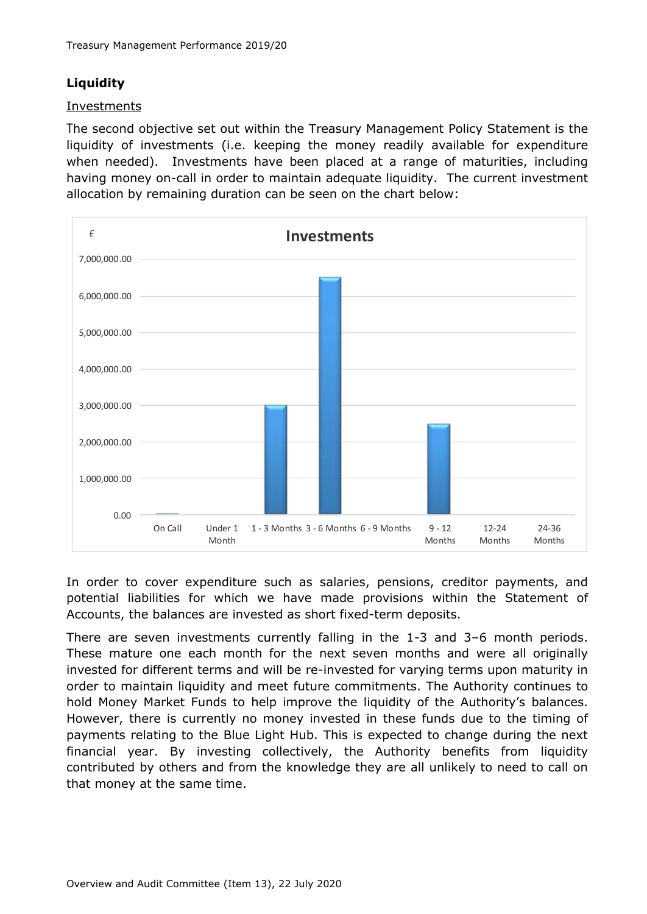## **Liquidity**

#### Investments

The second objective set out within the Treasury Management Policy Statement is the liquidity of investments (i.e. keeping the money readily available for expenditure when needed). Investments have been placed at a range of maturities, including having money on-call in order to maintain adequate liquidity. The current investment allocation by remaining duration can be seen on the chart below:



In order to cover expenditure such as salaries, pensions, creditor payments, and potential liabilities for which we have made provisions within the Statement of Accounts, the balances are invested as short fixed-term deposits.

There are seven investments currently falling in the 1-3 and 3–6 month periods. These mature one each month for the next seven months and were all originally invested for different terms and will be re-invested for varying terms upon maturity in order to maintain liquidity and meet future commitments. The Authority continues to hold Money Market Funds to help improve the liquidity of the Authority's balances. However, there is currently no money invested in these funds due to the timing of payments relating to the Blue Light Hub. This is expected to change during the next financial year. By investing collectively, the Authority benefits from liquidity contributed by others and from the knowledge they are all unlikely to need to call on that money at the same time.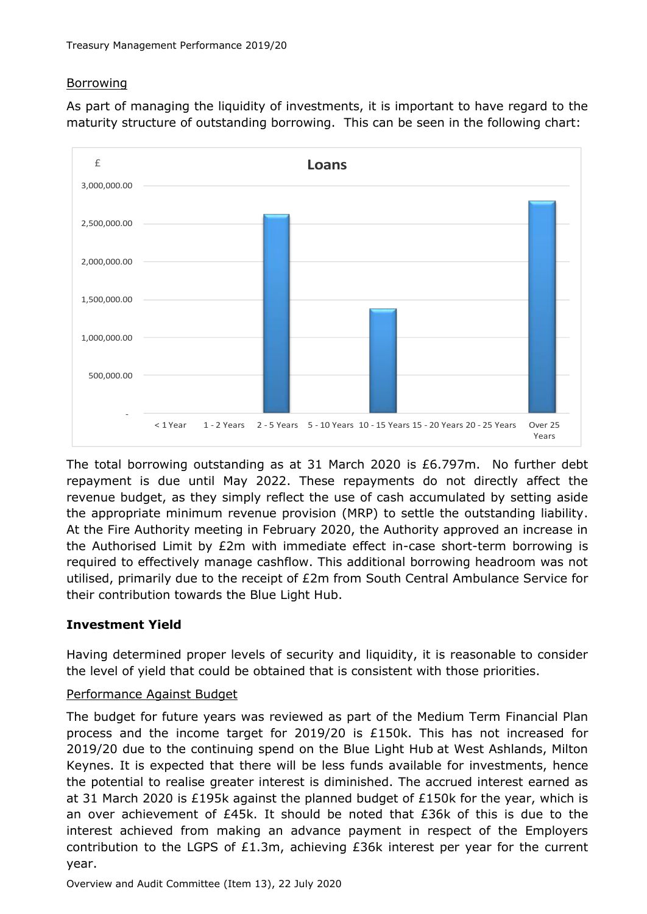## **Borrowing**

As part of managing the liquidity of investments, it is important to have regard to the maturity structure of outstanding borrowing. This can be seen in the following chart:



The total borrowing outstanding as at 31 March 2020 is £6.797m. No further debt repayment is due until May 2022. These repayments do not directly affect the revenue budget, as they simply reflect the use of cash accumulated by setting aside the appropriate minimum revenue provision (MRP) to settle the outstanding liability. At the Fire Authority meeting in February 2020, the Authority approved an increase in the Authorised Limit by £2m with immediate effect in-case short-term borrowing is required to effectively manage cashflow. This additional borrowing headroom was not utilised, primarily due to the receipt of £2m from South Central Ambulance Service for their contribution towards the Blue Light Hub.

## **Investment Yield**

Having determined proper levels of security and liquidity, it is reasonable to consider the level of yield that could be obtained that is consistent with those priorities.

## Performance Against Budget

The budget for future years was reviewed as part of the Medium Term Financial Plan process and the income target for 2019/20 is  $£150k$ . This has not increased for 2019/20 due to the continuing spend on the Blue Light Hub at West Ashlands, Milton Keynes. It is expected that there will be less funds available for investments, hence the potential to realise greater interest is diminished. The accrued interest earned as at 31 March 2020 is £195k against the planned budget of £150k for the year, which is an over achievement of  $E45k$ . It should be noted that  $E36k$  of this is due to the interest achieved from making an advance payment in respect of the Employers contribution to the LGPS of £1.3m, achieving £36k interest per year for the current year.